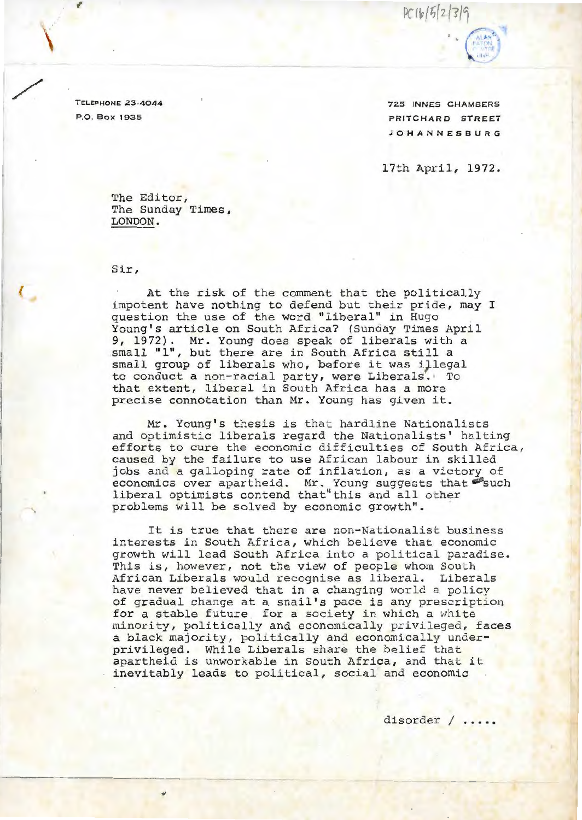$PC1b/5|2|3|0$ 

TELEPHONE **23-4044**  P.O. Box 1935

\

725 INNES CHAMBERS PRITCHARD STREET **JOHANNESBU RG** 

17th April, 1972 .

The Editor, The Sunday Times, LONDON .

Sir,

At the risk of the comment that the politically impotent have nothing to defend but their pride, may I question the use of the word "liberal" in Hugo Young's article on South Africa? (Sunday Times April 9, 1972). Mr. Young does speak of liberals with a small "1", but there are in South Africa still a small group of liberals who, before it was iJlegal to conduct a non- racial party , were Liberals. To that extent, liberal in South Africa has a more precise connotation than Mr. Young has given it.

Mr. Young's thesis is that hardline Nationalists and optimistic liberals regard the Nationalists' halting efforts to cure the economic difficulties of South Africa, caused by the failure to use African labour in skilled jobs and a galloping rate of inflation, as a victory of economics over apartheid. Mr. Young suggests that such liberal optimists contend that" this and all other problems will be solved by economic growth" .

It is true that there are non-Nationalist business interests in South Africa, which believe that economic growth will lead South Africa into a political paradise. This is, however, not the view of people whom South African Liberals would recognise as liberal. Liberals have never believed that in a changing world a policy of gradual change at a snail's pace is any prescription for a stable future for a society in which a white minority, politically and economically privileged, faces a black majority, politically and economically underprivileged. While Liberals share the belief that apartheid is unworkable in South Africa, and that it inevitably leads to political, social and economic

disorder / .....